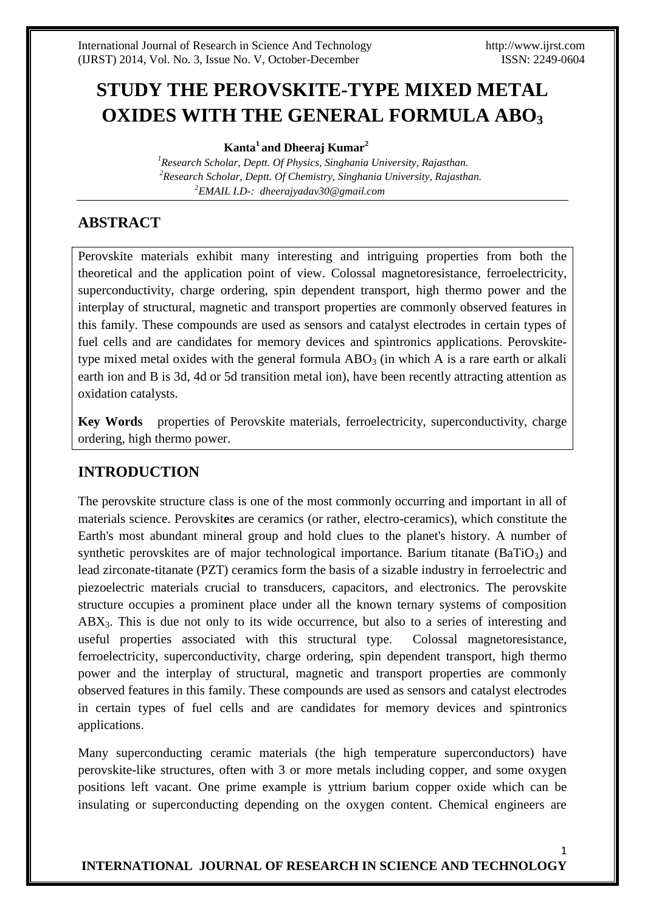# **STUDY THE PEROVSKITE-TYPE MIXED METAL OXIDES WITH THE GENERAL FORMULA ABO<sup>3</sup>**

 **Kanta<sup>1</sup>and Dheeraj Kumar<sup>2</sup>**

 *<sup>1</sup>Research Scholar, Deptt. Of Physics, Singhania University, Rajasthan. <sup>2</sup>Research Scholar, Deptt. Of Chemistry, Singhania University, Rajasthan. <sup>2</sup>EMAIL I.D-: dheerajyadav30@gmail.com* 

# **ABSTRACT**

Perovskite materials exhibit many interesting and intriguing properties from both the theoretical and the application point of view. [Colossal magnetoresistance,](http://www.answers.com/topic/colossal-magnetoresistance) [ferroelectricity,](http://www.answers.com/topic/ferroelectricity-1) [superconductivity,](http://www.answers.com/topic/superconductivity) [charge ordering,](http://www.answers.com/topic/charge-ordering) spin dependent transport, high thermo power and the interplay of structural, magnetic and transport properties are commonly observed features in this family. These compounds are used as sensors and catalyst electrodes in certain types of [fuel cells](http://www.answers.com/topic/solid-oxide-fuel-cell-1) and are candidates for memory devices and [spintronics](http://www.answers.com/topic/spintronics) applications. Perovskitetype mixed metal oxides with the general formula  $ABO<sub>3</sub>$  (in which A is a rare earth or alkali earth ion and B is 3d, 4d or 5d transition metal ion), have been recently attracting attention as oxidation catalysts.

**Key Words** properties of Perovskite materials, [ferroelectricity,](http://www.answers.com/topic/ferroelectricity-1) [superconductivity,](http://www.answers.com/topic/superconductivity) [charge](http://www.answers.com/topic/charge-ordering)  [ordering,](http://www.answers.com/topic/charge-ordering) high thermo power.

## **INTRODUCTION**

The perovskite structure class is one of the most commonly occurring and important in all of materials science. Perovskit**e**s are ceramics (or rather, electro-ceramics), which constitute the Earth's most abundant mineral group and hold clues to the planet's history. A number of synthetic perovskites are of major technological importance. Barium titanate (BaTiO<sub>3</sub>) and lead zirconate-titanate [\(PZT\)](http://www.answers.com/topic/pzt-abbreviation) ceramics form the basis of a [sizable](http://www.answers.com/topic/sizable) industry in ferroelectric and [piezoelectric](http://www.answers.com/topic/piezoelectric) materials crucial to transducers, capacitors, and electronics. The perovskite structure occupies a prominent place under all the known ternary systems of composition  $ABX<sub>3</sub>$ . This is due not only to its wide occurrence, but also to a series of interesting and useful properties associated with this structural type. [Colossal magnetoresistance,](http://www.answers.com/topic/colossal-magnetoresistance) [ferroelectricity,](http://www.answers.com/topic/ferroelectricity-1) [superconductivity,](http://www.answers.com/topic/superconductivity) [charge ordering,](http://www.answers.com/topic/charge-ordering) spin dependent transport, high thermo power and the interplay of structural, magnetic and transport properties are commonly observed features in this family. These compounds are used as sensors and catalyst electrodes in certain types of [fuel cells](http://www.answers.com/topic/solid-oxide-fuel-cell-1) and are candidates for memory devices and [spintronics](http://www.answers.com/topic/spintronics) applications.

Many [superconducting](http://www.answers.com/topic/superconductivity) [ceramic](http://www.answers.com/topic/ceramics) materials (the [high temperature superconductors\)](http://www.answers.com/topic/high-temperature-superconductivity) have perovskite-like structures, often with 3 or more metals including copper, and some oxygen positions left vacant. One prime example is [yttrium barium copper oxide](http://www.answers.com/topic/yttrium-barium-copper-oxide) which can be insulating or superconducting depending on the oxygen content. Chemical engineers are

1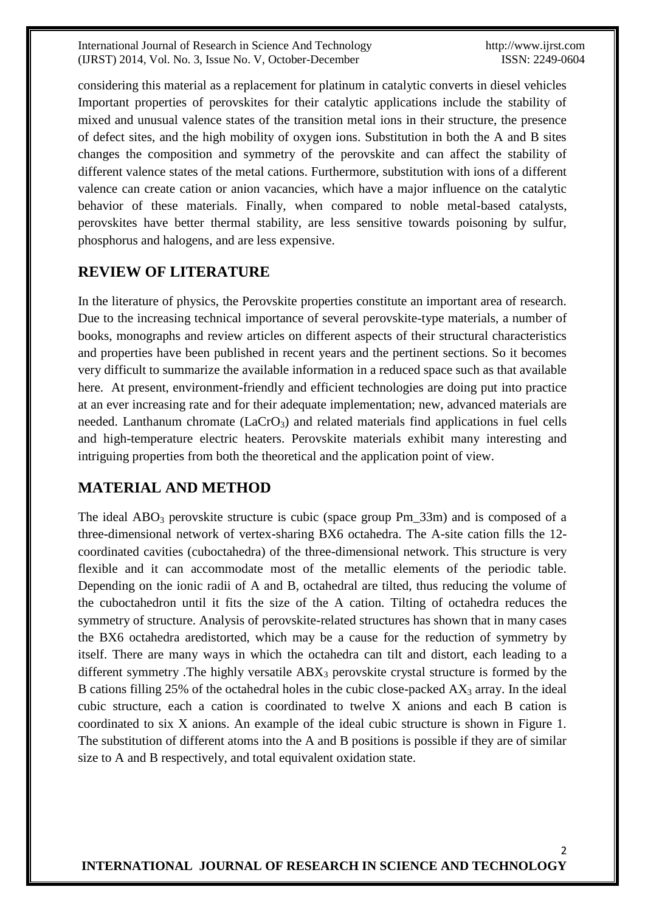considering this material as a replacement for platinum in catalytic converts in diesel vehicles Important properties of perovskites for their catalytic applications include the stability of mixed and unusual valence states of the transition metal ions in their structure, the presence of defect sites, and the high mobility of oxygen ions. Substitution in both the A and B sites changes the composition and symmetry of the perovskite and can affect the stability of different valence states of the metal cations. Furthermore, substitution with ions of a different valence can create cation or anion vacancies, which have a major influence on the catalytic behavior of these materials. Finally, when compared to noble metal-based catalysts, perovskites have better thermal stability, are less sensitive towards poisoning by sulfur, phosphorus and halogens, and are less expensive.

#### **REVIEW OF LITERATURE**

In the literature of physics, the Perovskite properties constitute an important area of research. Due to the increasing technical importance of several perovskite-type materials, a number of books, monographs and review articles on different aspects of their structural characteristics and properties have been published in recent years and the pertinent sections. So it becomes very difficult to summarize the available information in a reduced space such as that available here. At present, environment-friendly and efficient technologies are doing put into practice at an ever increasing rate and for their adequate implementation; new, advanced materials are needed. Lanthanum chromate  $(LaCrO<sub>3</sub>)$  and related materials find applications in fuel cells and high-temperature electric heaters. Perovskite materials exhibit many interesting and intriguing properties from both the theoretical and the application point of view.

### **MATERIAL AND METHOD**

The ideal  $ABO<sub>3</sub>$  perovskite structure is cubic (space group Pm\_33m) and is composed of a three-dimensional network of vertex-sharing BX6 octahedra. The A-site cation fills the 12 coordinated cavities (cuboctahedra) of the three-dimensional network. This structure is very flexible and it can accommodate most of the metallic elements of the periodic table. Depending on the ionic radii of A and B, octahedral are tilted, thus reducing the volume of the cuboctahedron until it fits the size of the A cation. Tilting of octahedra reduces the symmetry of structure. Analysis of perovskite-related structures has shown that in many cases the BX6 octahedra aredistorted, which may be a cause for the reduction of symmetry by itself. There are many ways in which the octahedra can tilt and distort, each leading to a different symmetry. The highly versatile  $ABX_3$  perovskite crystal structure is formed by the B cations filling 25% of the octahedral holes in the cubic close-packed  $AX_3$  array. In the ideal cubic structure, each a cation is coordinated to twelve X anions and each B cation is coordinated to six X anions. An example of the ideal cubic structure is shown in Figure 1. The substitution of different atoms into the A and B positions is possible if they are of similar size to A and B respectively, and total equivalent oxidation state.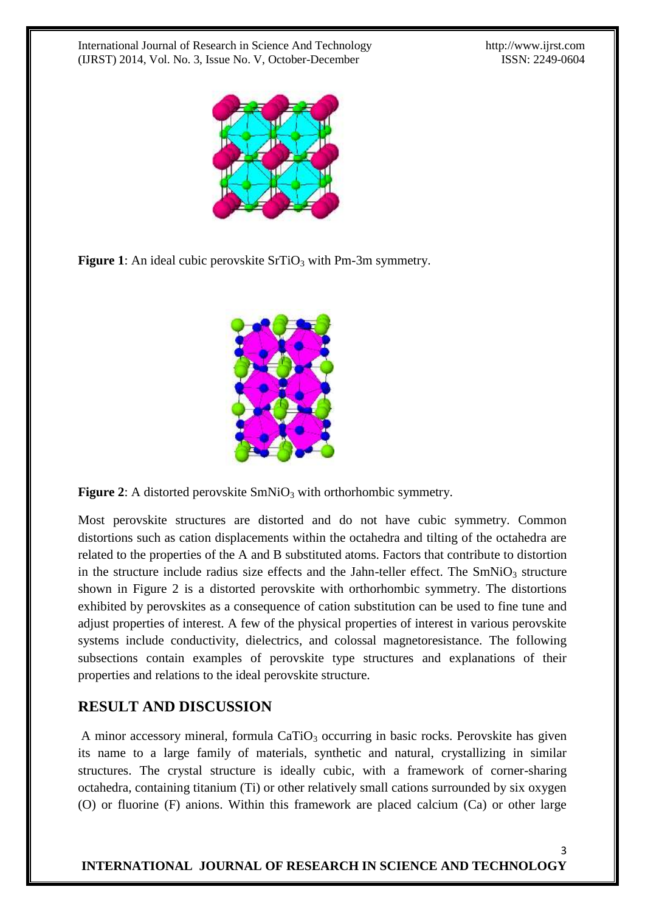

**Figure 1**: An ideal cubic perovskite SrTiO<sub>3</sub> with Pm-3m symmetry.



**Figure 2:** A distorted perovskite SmNiO<sub>3</sub> with orthorhombic symmetry.

Most perovskite structures are distorted and do not have cubic symmetry. Common distortions such as cation displacements within the octahedra and tilting of the octahedra are related to the properties of the A and B substituted atoms. Factors that contribute to distortion in the structure include radius size effects and the Jahn-teller effect. The  $SmNiO<sub>3</sub>$  structure shown in Figure 2 is a distorted perovskite with orthorhombic symmetry. The distortions exhibited by perovskites as a consequence of cation substitution can be used to fine tune and adjust properties of interest. A few of the physical properties of interest in various perovskite systems include conductivity, dielectrics, and colossal magnetoresistance. The following subsections contain examples of perovskite type structures and explanations of their properties and relations to the ideal perovskite structure.

### **RESULT AND DISCUSSION**

A minor accessory mineral, formula  $CaTiO<sub>3</sub>$  occurring in basic rocks. Perovskite has given its name to a large family of materials, synthetic and natural, crystallizing in similar structures. The crystal structure is ideally cubic, with a framework of corner-sharing octahedra, containing [titanium](http://www.answers.com/topic/titanium) (Ti) or other relatively small cations surrounded by six oxygen (O) or [fluorine](http://www.answers.com/topic/fluorine) (F) anions. Within this framework are placed calcium (Ca) or other large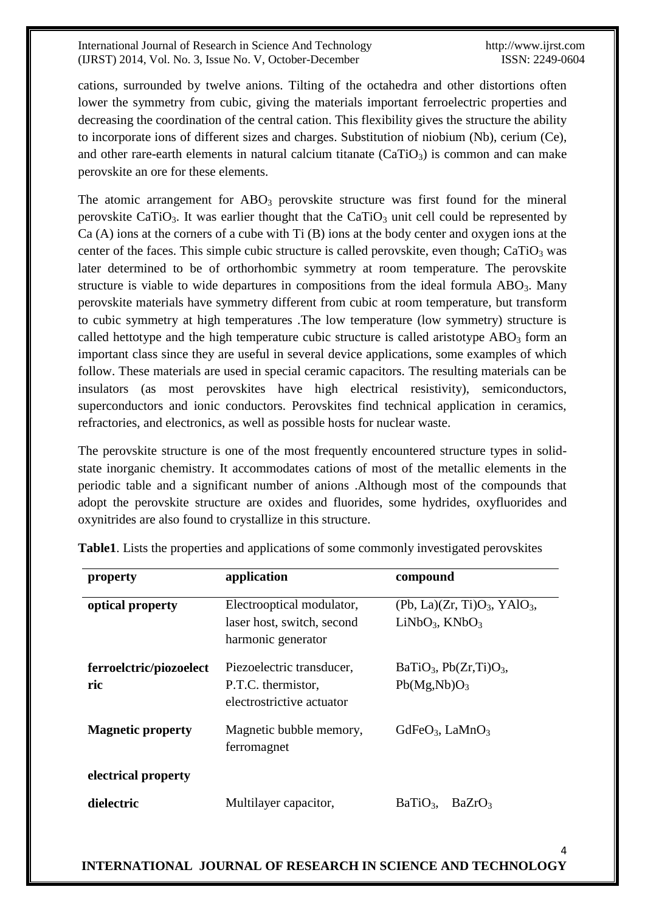cations, surrounded by twelve anions. Tilting of the octahedra and other distortions often lower the symmetry from cubic, giving the materials important [ferroelectric](http://www.answers.com/topic/ferroelectric) properties and decreasing the coordination of the central [cation.](http://www.answers.com/topic/cationic) This flexibility gives the structure the ability to incorporate ions of different sizes and charges. Substitution of [niobium](http://www.answers.com/topic/niobium) (Nb), [cerium](http://www.answers.com/topic/cerium) (Ce), and other rare-earth elements in natural calcium titanate  $(CaTiO<sub>3</sub>)$  is common and can make perovskite an ore for these elements.

The atomic arrangement for  $\text{ABO}_3$  perovskite structure was first found for the mineral perovskite CaTiO<sub>3</sub>. It was earlier thought that the CaTiO<sub>3</sub> unit cell could be represented by Ca (A) ions at the corners of a cube with Ti (B) ions at the body center and oxygen ions at the center of the faces. This simple cubic structure is called perovskite, even though;  $CaTiO<sub>3</sub>$  was later determined to be of orthorhombic symmetry at room temperature. The perovskite structure is viable to wide departures in compositions from the ideal formula  $ABO<sub>3</sub>$ . Many perovskite materials have symmetry different from cubic at room temperature, but transform to cubic symmetry at high temperatures .The low temperature (low symmetry) structure is called hettotype and the high temperature cubic structure is called aristotype  $ABO<sub>3</sub>$  form an important class since they are useful in several device applications, some examples of which follow. These materials are used in special ceramic capacitors. The resulting materials can be insulators (as most perovskites have high electrical resistivity), semiconductors, superconductors and ionic conductors. Perovskites find technical application in ceramics, refractories, and electronics, as well as possible hosts for nuclear waste.

The perovskite structure is one of the most frequently encountered structure types in solidstate inorganic chemistry. It accommodates cations of most of the metallic elements in the periodic table and a significant number of anions .Although most of the compounds that adopt the perovskite structure are oxides and fluorides, some hydrides, oxyfluorides and oxynitrides are also found to crystallize in this structure.

| property                       | application                                                                   | compound                                                    |
|--------------------------------|-------------------------------------------------------------------------------|-------------------------------------------------------------|
| optical property               | Electrooptical modulator,<br>laser host, switch, second<br>harmonic generator | $(Pb, La)(Zr, Ti)O3, YAlO3$<br>$LiNbO3$ , KNbO <sub>3</sub> |
| ferroelctric/piozoelect<br>ric | Piezoelectric transducer,<br>P.T.C. thermistor,<br>electrostrictive actuator  | $BaTiO3$ , $Pb(Zr,Ti)O3$ ,<br>$Pb(Mg,Nb)O_3$                |
| <b>Magnetic property</b>       | Magnetic bubble memory,<br>ferromagnet                                        | $GdFeO3$ , LaMnO <sub>3</sub>                               |
| electrical property            |                                                                               |                                                             |
| dielectric                     | Multilayer capacitor,                                                         | BaTiO <sub>3</sub><br>BaZrO <sub>3</sub>                    |

**Table1**. Lists the properties and applications of some commonly investigated perovskites

#### 4 **INTERNATIONAL JOURNAL OF RESEARCH IN SCIENCE AND TECHNOLOGY**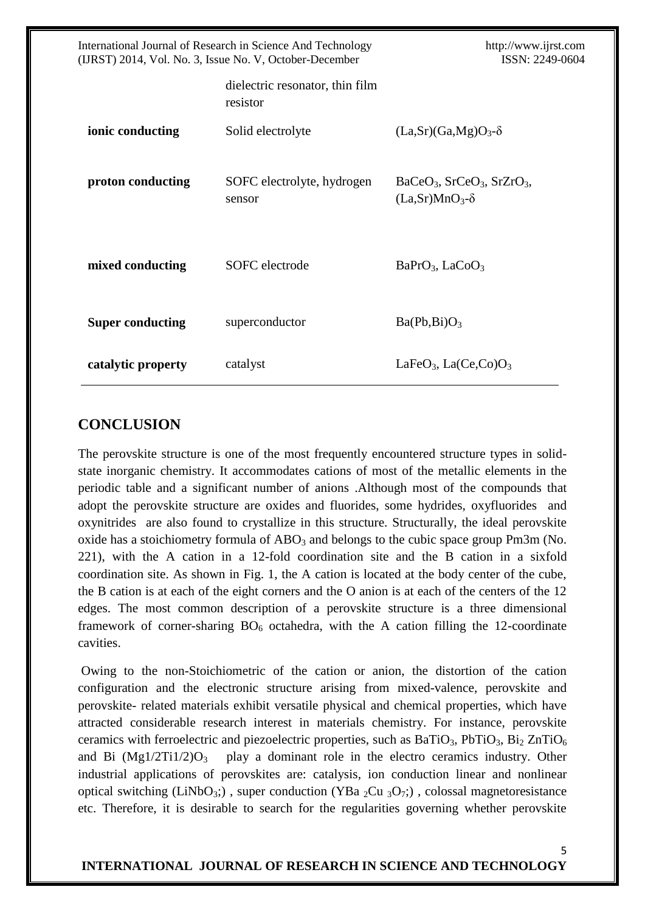| International Journal of Research in Science And Technology<br>(IJRST) 2014, Vol. No. 3, Issue No. V, October-December |                                             | http://www.ijrst.com<br>ISSN: 2249-0604                     |
|------------------------------------------------------------------------------------------------------------------------|---------------------------------------------|-------------------------------------------------------------|
|                                                                                                                        | dielectric resonator, thin film<br>resistor |                                                             |
| ionic conducting                                                                                                       | Solid electrolyte                           | $(La, Sr)(Ga, Mg)O3 - \delta$                               |
| proton conducting                                                                                                      | SOFC electrolyte, hydrogen<br>sensor        | $BaCeO3$ , $SrCeO3$ , $SrZrO3$ ,<br>$(La, Sr)MnO3 - \delta$ |
| mixed conducting                                                                                                       | SOFC electrode                              | $BaPrO3$ , LaCoO <sub>3</sub>                               |
| <b>Super conducting</b>                                                                                                | superconductor                              | $Ba(Pb, Bi)O_3$                                             |
| catalytic property                                                                                                     | catalyst                                    | LaFe $O_3$ , La(Ce,Co) $O_3$                                |

### **CONCLUSION**

The perovskite structure is one of the most frequently encountered structure types in solidstate inorganic chemistry. It accommodates cations of most of the metallic elements in the periodic table and a significant number of anions .Although most of the compounds that adopt the perovskite structure are oxides and fluorides, some hydrides, oxyfluorides and oxynitrides are also found to crystallize in this structure. Structurally, the ideal perovskite oxide has a stoichiometry formula of  $ABO<sub>3</sub>$  and belongs to the cubic space group Pm3m (No. 221), with the A cation in a 12-fold coordination site and the B cation in a sixfold coordination site. As shown in Fig. 1, the A cation is located at the body center of the cube, the B cation is at each of the eight corners and the O anion is at each of the centers of the 12 edges. The most common description of a perovskite structure is a three dimensional framework of corner-sharing  $BO_6$  octahedra, with the A cation filling the 12-coordinate cavities.

Owing to the non-Stoichiometric of the cation or anion, the distortion of the cation configuration and the electronic structure arising from mixed-valence, perovskite and perovskite- related materials exhibit versatile physical and chemical properties, which have attracted considerable research interest in materials chemistry. For instance, perovskite ceramics with ferroelectric and piezoelectric properties, such as  $BaTiO<sub>3</sub>$ ,  $PbTiO<sub>3</sub>$ ,  $Bi<sub>2</sub> ZnTiO<sub>6</sub>$ and Bi  $(Mg1/2Ti1/2)O_3$  play a dominant role in the electro ceramics industry. Other industrial applications of perovskites are: catalysis, ion conduction linear and nonlinear optical switching (LiNbO<sub>3</sub>;), super conduction (YBa  $_2$ Cu  $_3O_7$ ;), colossal magnetoresistance etc. Therefore, it is desirable to search for the regularities governing whether perovskite

5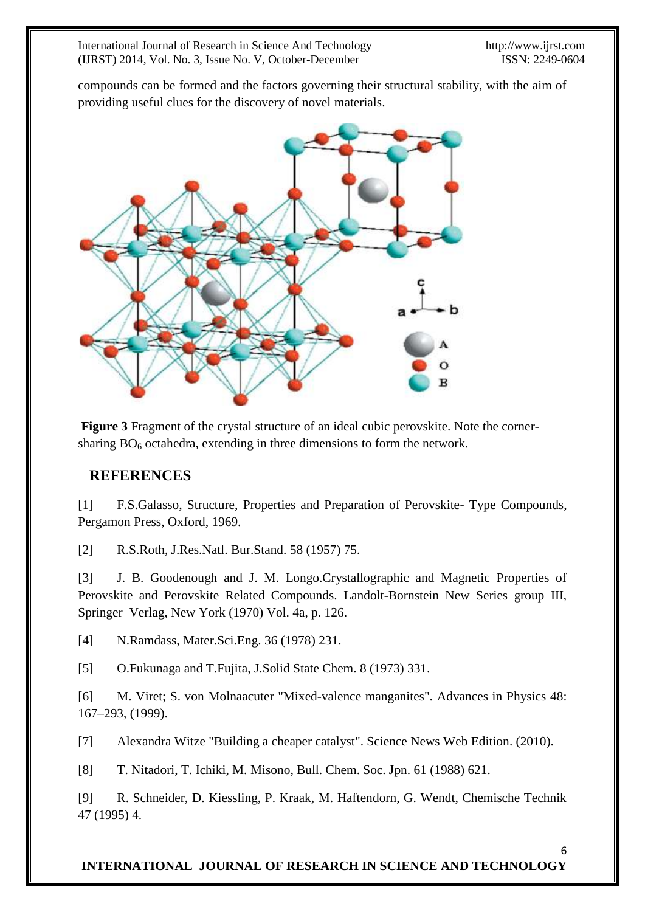compounds can be formed and the factors governing their structural stability, with the aim of providing useful clues for the discovery of novel materials.



**Figure 3** Fragment of the crystal structure of an ideal cubic perovskite. Note the cornersharing  $BO<sub>6</sub>$  octahedra, extending in three dimensions to form the network.

#### **REFERENCES**

[1] F.S.Galasso, Structure, Properties and Preparation of Perovskite- Type Compounds, Pergamon Press, Oxford, 1969.

[2] R.S.Roth, J.Res.Natl. Bur.Stand. 58 (1957) 75.

[3] J. B. Goodenough and J. M. Longo.Crystallographic and Magnetic Properties of Perovskite and Perovskite Related Compounds. Landolt-Bornstein New Series group III, Springer Verlag, New York (1970) Vol. 4a, p. 126.

[4] N.Ramdass, Mater.Sci.Eng. 36 (1978) 231.

[5] O.Fukunaga and T.Fujita, J.Solid State Chem. 8 (1973) 331.

[6] M. Viret; S. von Molnaacuter "Mixed-valence manganites". Advances in Physics 48: 167–293, (1999).

[7] Alexandra Witze ["Building a cheaper catalyst".](http://www.sciencenews.org/view/generic/id/57618/title/Building_a_cheaper_catalyst) Science News Web Edition. (2010).

[8] T. Nitadori, T. Ichiki, M. Misono, Bull. Chem. Soc. Jpn. 61 (1988) 621.

[9] R. Schneider, D. Kiessling, P. Kraak, M. Haftendorn, G. Wendt, Chemische Technik 47 (1995) 4.